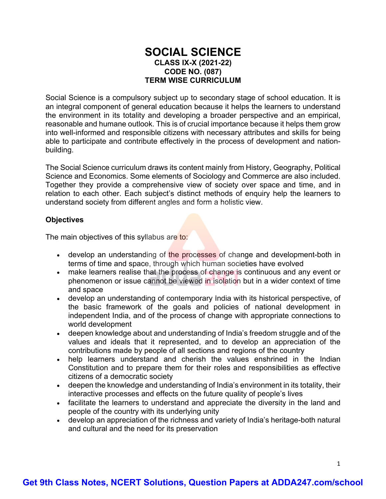#### **SOCIAL SCIENCE CLASS IX-X (2021-22) CODE NO. (087) TERM WISE CURRICULUM**

Social Science is a compulsory subject up to secondary stage of school education. It is an integral component of general education because it helps the learners to understand the environment in its totality and developing a broader perspective and an empirical, reasonable and humane outlook. This is of crucial importance because it helps them grow into well-informed and responsible citizens with necessary attributes and skills for being able to participate and contribute effectively in the process of development and nationbuilding.

The Social Science curriculum draws its content mainly from History, Geography, Political Science and Economics. Some elements of Sociology and Commerce are also included. Together they provide a comprehensive view of society over space and time, and in relation to each other. Each subject's distinct methods of enquiry help the learners to understand society from different angles and form a holistic view.

#### **Objectives**

The main objectives of this syllabus are to:

- develop an understanding of the processes of change and development-both in terms of time and space, through which human societies have evolved
- make learners realise that the process of change is continuous and any event or phenomenon or issue cannot be viewed in isolation but in a wider context of time and space
- develop an understanding of contemporary India with its historical perspective, of the basic framework of the goals and policies of national development in independent India, and of the process of change with appropriate connections to world development
- deepen knowledge about and understanding of India's freedom struggle and of the values and ideals that it represented, and to develop an appreciation of the contributions made by people of all sections and regions of the country
- help learners understand and cherish the values enshrined in the Indian Constitution and to prepare them for their roles and responsibilities as effective citizens of a democratic society
- deepen the knowledge and understanding of India's environment in its totality, their interactive processes and effects on the future quality of people's lives
- facilitate the learners to understand and appreciate the diversity in the land and people of the country with its underlying unity
- develop an appreciation of the richness and variety of India's heritage-both natural and cultural and the need for its preservation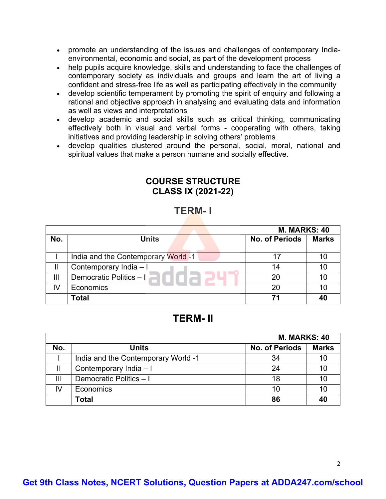- promote an understanding of the issues and challenges of contemporary Indiaenvironmental, economic and social, as part of the development process
- help pupils acquire knowledge, skills and understanding to face the challenges of contemporary society as individuals and groups and learn the art of living a confident and stress-free life as well as participating effectively in the community
- develop scientific temperament by promoting the spirit of enquiry and following a rational and objective approach in analysing and evaluating data and information as well as views and interpretations
- develop academic and social skills such as critical thinking, communicating effectively both in visual and verbal forms - cooperating with others, taking initiatives and providing leadership in solving others' problems
- develop qualities clustered around the personal, social, moral, national and spiritual values that make a person humane and socially effective.

### **COURSE STRUCTURE CLASS IX (2021-22)**

# **TERM- I**

|     |                                     | <b>M. MARKS: 40</b>   |              |
|-----|-------------------------------------|-----------------------|--------------|
| No. | <b>Units</b>                        | <b>No. of Periods</b> | <b>Marks</b> |
|     |                                     |                       |              |
|     | India and the Contemporary World -1 | 17                    | 10           |
|     | Contemporary India - I              | 14                    | 10           |
| Ш   | Democratic Politics - I             | 20                    | 10           |
| IV  | Economics                           | 20                    | 10           |
|     | <b>Total</b>                        | 71                    | 40           |

# **TERM- II**

|     |                                     | <b>M. MARKS: 40</b>   |              |
|-----|-------------------------------------|-----------------------|--------------|
| No. | <b>Units</b>                        | <b>No. of Periods</b> | <b>Marks</b> |
|     | India and the Contemporary World -1 | 34                    | 10           |
|     | Contemporary India - I              | 24                    | 10           |
| Ш   | Democratic Politics - I             | 18                    |              |
|     | Economics                           | 10                    | 10           |
|     | <b>Total</b>                        | 86                    | 40           |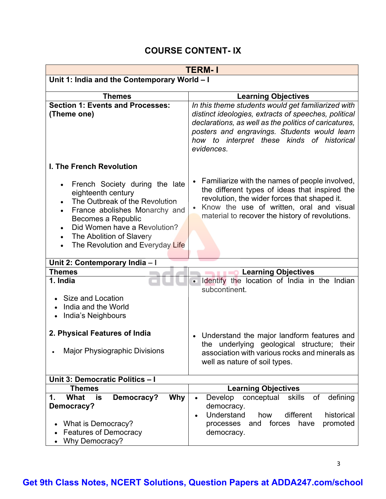# **COURSE CONTENT- IX**

| <b>TERM-1</b>                                                                                                                                                                                                                                                                        |                                                                                                                                                                                                                                                                                 |  |
|--------------------------------------------------------------------------------------------------------------------------------------------------------------------------------------------------------------------------------------------------------------------------------------|---------------------------------------------------------------------------------------------------------------------------------------------------------------------------------------------------------------------------------------------------------------------------------|--|
| Unit 1: India and the Contemporary World - I                                                                                                                                                                                                                                         |                                                                                                                                                                                                                                                                                 |  |
| <b>Themes</b>                                                                                                                                                                                                                                                                        | <b>Learning Objectives</b>                                                                                                                                                                                                                                                      |  |
| <b>Section 1: Events and Processes:</b><br>(Theme one)                                                                                                                                                                                                                               | In this theme students would get familiarized with<br>distinct ideologies, extracts of speeches, political<br>declarations, as well as the politics of caricatures,<br>posters and engravings. Students would learn<br>how to interpret these kinds of historical<br>evidences. |  |
| <b>I. The French Revolution</b>                                                                                                                                                                                                                                                      |                                                                                                                                                                                                                                                                                 |  |
| French Society during the late<br>eighteenth century<br>The Outbreak of the Revolution<br>France abolishes Monarchy and<br>$\bullet$<br>Becomes a Republic<br>Did Women have a Revolution?<br>The Abolition of Slavery<br>$\bullet$<br>The Revolution and Everyday Life<br>$\bullet$ | Familiarize with the names of people involved,<br>the different types of ideas that inspired the<br>revolution, the wider forces that shaped it.<br>Know the use of written, oral and visual<br>$\bullet$<br>material to recover the history of revolutions.                    |  |
| Unit 2: Contemporary India - I                                                                                                                                                                                                                                                       |                                                                                                                                                                                                                                                                                 |  |
| <b>Themes</b>                                                                                                                                                                                                                                                                        | <b>Learning Objectives</b>                                                                                                                                                                                                                                                      |  |
| 1. India<br>Size and Location                                                                                                                                                                                                                                                        | · Identify the location of India in the Indian<br>subcontinent.                                                                                                                                                                                                                 |  |
| India and the World<br>India's Neighbours<br>$\bullet$                                                                                                                                                                                                                               |                                                                                                                                                                                                                                                                                 |  |
| 2. Physical Features of India<br><b>Major Physiographic Divisions</b>                                                                                                                                                                                                                | Understand the major landform features and<br>$\bullet$<br>underlying geological structure;<br>the<br>their<br>association with various rocks and minerals as<br>well as nature of soil types.                                                                                  |  |
| Unit 3: Democratic Politics - I                                                                                                                                                                                                                                                      |                                                                                                                                                                                                                                                                                 |  |
| <b>Themes</b>                                                                                                                                                                                                                                                                        | <b>Learning Objectives</b>                                                                                                                                                                                                                                                      |  |
| Why<br>1.<br><b>What</b><br>Democracy?<br>is<br>Democracy?                                                                                                                                                                                                                           | of<br>defining<br>Develop<br>conceptual<br>skills<br>democracy.<br>Understand<br>different<br>historical<br>how<br>$\bullet$                                                                                                                                                    |  |
| What is Democracy?<br><b>Features of Democracy</b><br>Why Democracy?                                                                                                                                                                                                                 | forces<br>promoted<br>processes<br>and<br>have<br>democracy.                                                                                                                                                                                                                    |  |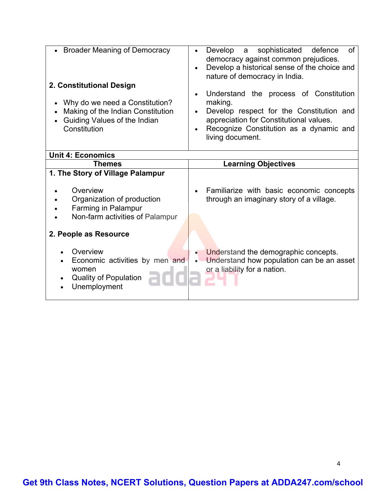| <b>Broader Meaning of Democracy</b><br>2. Constitutional Design<br>Why do we need a Constitution?<br>$\bullet$<br>Making of the Indian Constitution<br>Guiding Values of the Indian<br>Constitution | sophisticated<br>Develop<br>defence<br>of<br>$\overline{a}$<br>democracy against common prejudices.<br>Develop a historical sense of the choice and<br>nature of democracy in India.<br>Understand the process of Constitution<br>making.<br>Develop respect for the Constitution and<br>$\bullet$<br>appreciation for Constitutional values.<br>Recognize Constitution as a dynamic and<br>living document. |
|-----------------------------------------------------------------------------------------------------------------------------------------------------------------------------------------------------|--------------------------------------------------------------------------------------------------------------------------------------------------------------------------------------------------------------------------------------------------------------------------------------------------------------------------------------------------------------------------------------------------------------|
| <b>Unit 4: Economics</b>                                                                                                                                                                            |                                                                                                                                                                                                                                                                                                                                                                                                              |
| <b>Themes</b>                                                                                                                                                                                       | <b>Learning Objectives</b>                                                                                                                                                                                                                                                                                                                                                                                   |
| 1. The Story of Village Palampur<br>Overview<br>Organization of production<br>Farming in Palampur<br>Non-farm activities of Palampur                                                                | Familiarize with basic economic concepts<br>through an imaginary story of a village.                                                                                                                                                                                                                                                                                                                         |
| 2. People as Resource<br>Overview<br>Economic activities by men and<br>women<br><b>Quality of Population</b><br>Unemployment                                                                        | Understand the demographic concepts.<br>Understand how population can be an asset<br>$\bullet$<br>or a liability for a nation.                                                                                                                                                                                                                                                                               |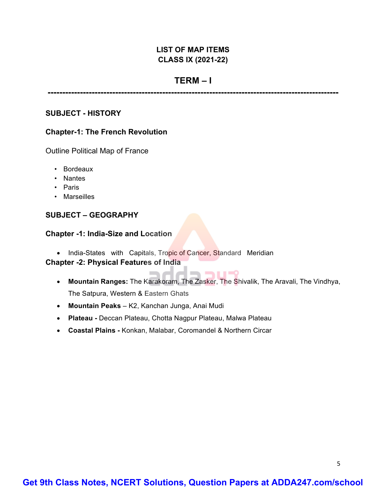#### **LIST OF MAP ITEMS CLASS IX (2021-22)**

#### **TERM – I**

**---------------------------------------------------------------------------------------------------**

#### **SUBJECT - HISTORY**

#### **Chapter-1: The French Revolution**

Outline Political Map of France

- Bordeaux
- Nantes
- Paris
- Marseilles

#### **SUBJECT – GEOGRAPHY**

#### **Chapter -1: India-Size and Location**

• India-States with Capitals, Tropic of Cancer, Standard Meridian **Chapter -2: Physical Features of India**

#### — 44— — 111—2 • **Mountain Ranges:** The Karakoram, The Zasker, The Shivalik, The Aravali, The Vindhya,

The Satpura, Western & Eastern Ghats

- **Mountain Peaks** K2, Kanchan Junga, Anai Mudi
- **Plateau -** Deccan Plateau, Chotta Nagpur Plateau, Malwa Plateau
- **Coastal Plains -** Konkan, Malabar, Coromandel & Northern Circar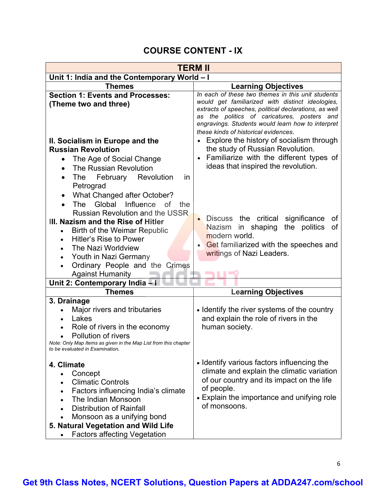# **COURSE CONTENT - IX**

| TERM II                                                                                                                                                                                                                                                                                                                                                                    |                                                                                                                                                                                                                                                                                                            |  |  |
|----------------------------------------------------------------------------------------------------------------------------------------------------------------------------------------------------------------------------------------------------------------------------------------------------------------------------------------------------------------------------|------------------------------------------------------------------------------------------------------------------------------------------------------------------------------------------------------------------------------------------------------------------------------------------------------------|--|--|
| Unit 1: India and the Contemporary World - I                                                                                                                                                                                                                                                                                                                               |                                                                                                                                                                                                                                                                                                            |  |  |
| <b>Themes</b>                                                                                                                                                                                                                                                                                                                                                              | <b>Learning Objectives</b>                                                                                                                                                                                                                                                                                 |  |  |
| <b>Section 1: Events and Processes:</b><br>(Theme two and three)                                                                                                                                                                                                                                                                                                           | In each of these two themes in this unit students<br>would get familiarized with distinct ideologies,<br>extracts of speeches, political declarations, as well<br>as the politics of caricatures, posters and<br>engravings. Students would learn how to interpret<br>these kinds of historical evidences. |  |  |
| II. Socialism in Europe and the                                                                                                                                                                                                                                                                                                                                            | Explore the history of socialism through                                                                                                                                                                                                                                                                   |  |  |
| <b>Russian Revolution</b>                                                                                                                                                                                                                                                                                                                                                  | the study of Russian Revolution.                                                                                                                                                                                                                                                                           |  |  |
| The Age of Social Change<br>The Russian Revolution<br>February Revolution<br>The<br>in.                                                                                                                                                                                                                                                                                    | Familiarize with the different types of<br>ideas that inspired the revolution.                                                                                                                                                                                                                             |  |  |
| Petrograd<br>What Changed after October?<br>Global<br>Influence<br>The<br><b>of</b><br>the<br><b>Russian Revolution and the USSR</b><br>III. Nazism and the Rise of Hitler<br>Birth of the Weimar Republic<br>Hitler's Rise to Power<br>The Nazi Worldview<br>Youth in Nazi Germany<br>$\bullet$<br>Ordinary People and the Crimes<br>$\bullet$<br><b>Against Humanity</b> | Discuss the critical significance<br>οf<br>Nazism in shaping<br>the politics<br>οf<br>modern world.<br>Get familiarized with the speeches and<br>writings of Nazi Leaders.                                                                                                                                 |  |  |
| Unit 2: Contemporary India - I                                                                                                                                                                                                                                                                                                                                             |                                                                                                                                                                                                                                                                                                            |  |  |
| <b>Themes</b>                                                                                                                                                                                                                                                                                                                                                              | <b>Learning Objectives</b>                                                                                                                                                                                                                                                                                 |  |  |
| 3. Drainage<br>Major rivers and tributaries<br>Lakes<br>Role of rivers in the economy<br>Pollution of rivers<br>Note: Only Map Items as given in the Map List from this chapter<br>to be evaluated in Examination.                                                                                                                                                         | • Identify the river systems of the country<br>and explain the role of rivers in the<br>human society.                                                                                                                                                                                                     |  |  |
| 4. Climate<br>Concept<br>$\bullet$<br><b>Climatic Controls</b><br>Factors influencing India's climate<br>The Indian Monsoon<br><b>Distribution of Rainfall</b><br>Monsoon as a unifying bond<br>5. Natural Vegetation and Wild Life<br><b>Factors affecting Vegetation</b>                                                                                                 | • Identify various factors influencing the<br>climate and explain the climatic variation<br>of our country and its impact on the life<br>of people.<br>• Explain the importance and unifying role<br>of monsoons.                                                                                          |  |  |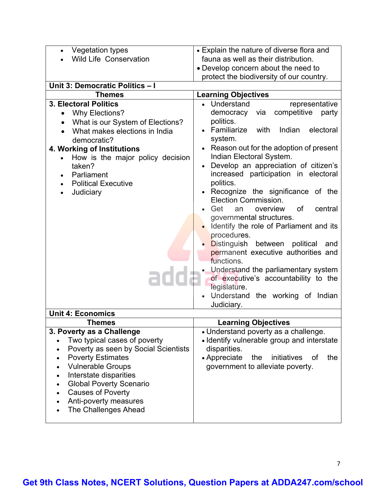| <b>Vegetation types</b>                       | • Explain the nature of diverse flora and                                   |
|-----------------------------------------------|-----------------------------------------------------------------------------|
| <b>Wild Life Conservation</b>                 | fauna as well as their distribution.                                        |
|                                               | • Develop concern about the need to                                         |
|                                               | protect the biodiversity of our country.                                    |
| Unit 3: Democratic Politics - I               |                                                                             |
| <b>Themes</b>                                 | <b>Learning Objectives</b>                                                  |
| <b>3. Electoral Politics</b>                  | • Understand<br>representative                                              |
| Why Elections?                                | via<br>competitive<br>democracy<br>party                                    |
| What is our System of Elections?              | politics.                                                                   |
| What makes elections in India                 | Familiarize with<br>Indian<br>electoral                                     |
| democratic?                                   | system.                                                                     |
| 4. Working of Institutions                    | Reason out for the adoption of present                                      |
| How is the major policy decision<br>$\bullet$ | Indian Electoral System.                                                    |
| taken?                                        | Develop an appreciation of citizen's                                        |
| Parliament                                    | increased participation in electoral                                        |
| <b>Political Executive</b>                    | politics.                                                                   |
| Judiciary                                     | Recognize the significance of the                                           |
|                                               | Election Commission.                                                        |
|                                               | Get<br>overview<br><b>of</b><br>central<br>an                               |
|                                               | governmental structures.                                                    |
|                                               | Identify the role of Parliament and its                                     |
|                                               | procedures.                                                                 |
|                                               | Distinguish between political<br>and                                        |
|                                               | permanent executive authorities and                                         |
|                                               | functions.                                                                  |
|                                               | Understand the parliamentary system<br>of executive's accountability to the |
|                                               | legislature.                                                                |
|                                               | · Understand the working of Indian                                          |
|                                               | Judiciary.                                                                  |
| <b>Unit 4: Economics</b>                      |                                                                             |
| <b>Themes</b>                                 | <b>Learning Objectives</b>                                                  |
| 3. Poverty as a Challenge                     | • Understand poverty as a challenge.                                        |
| Two typical cases of poverty                  | · Identify vulnerable group and interstate                                  |
| Poverty as seen by Social Scientists          | disparities.                                                                |
| <b>Poverty Estimates</b>                      | • Appreciate<br>the<br>of<br>the<br>initiatives                             |
| <b>Vulnerable Groups</b>                      | government to alleviate poverty.                                            |
| Interstate disparities                        |                                                                             |
| <b>Global Poverty Scenario</b>                |                                                                             |
| <b>Causes of Poverty</b>                      |                                                                             |
| Anti-poverty measures                         |                                                                             |
| <b>The Challenges Ahead</b>                   |                                                                             |
|                                               |                                                                             |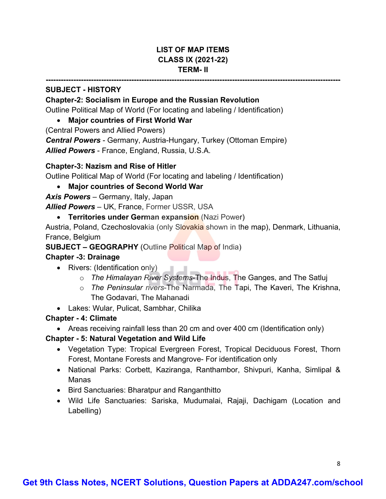#### **LIST OF MAP ITEMS CLASS IX (2021-22) TERM- II**

**---------------------------------------------------------------------------------------------------------------------**

#### **SUBJECT - HISTORY**

#### **Chapter-2: Socialism in Europe and the Russian Revolution**

Outline Political Map of World (For locating and labeling / Identification)

#### • **Major countries of First World War**

(Central Powers and Allied Powers)

*Central Powers* - Germany, Austria-Hungary, Turkey (Ottoman Empire) *Allied Powers* - France, England, Russia, U.S.A.

#### **Chapter-3: Nazism and Rise of Hitler**

Outline Political Map of World (For locating and labeling / Identification)

#### • **Major countries of Second World War**

*Axis Powers* – Germany, Italy, Japan

*Allied Powers* – UK, France, Former USSR, USA

#### • **Territories under German expansion** (Nazi Power)

Austria, Poland, Czechoslovakia (only Slovakia shown in the map), Denmark, Lithuania, France, Belgium

#### **SUBJECT – GEOGRAPHY** (Outline Political Map of India)

#### **Chapter -3: Drainage**

- Rivers: (Identification only)
	- o *The Himalayan River Systems*-The Indus, The Ganges, and The Satluj
	- o *The Peninsular rivers*-The Narmada, The Tapi, The Kaveri, The Krishna, The Godavari, The Mahanadi
- Lakes: Wular, Pulicat, Sambhar, Chilika

#### **Chapter - 4: Climate**

• Areas receiving rainfall less than 20 cm and over 400 cm (Identification only)

#### **Chapter - 5: Natural Vegetation and Wild Life**

- Vegetation Type: Tropical Evergreen Forest, Tropical Deciduous Forest, Thorn Forest, Montane Forests and Mangrove- For identification only
- National Parks: Corbett, Kaziranga, Ranthambor, Shivpuri, Kanha, Simlipal & Manas
- Bird Sanctuaries: Bharatpur and Ranganthitto
- Wild Life Sanctuaries: Sariska, Mudumalai, Rajaji, Dachigam (Location and Labelling)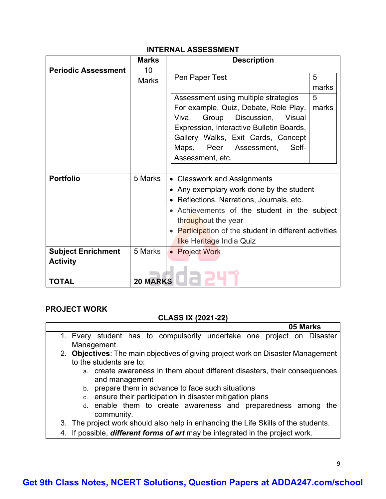|                            | <b>Marks</b>    | <b>Description</b>                                          |            |
|----------------------------|-----------------|-------------------------------------------------------------|------------|
| <b>Periodic Assessment</b> | 10              |                                                             |            |
|                            | <b>Marks</b>    | Pen Paper Test                                              | 5<br>marks |
|                            |                 |                                                             |            |
|                            |                 | Assessment using multiple strategies                        | 5          |
|                            |                 | For example, Quiz, Debate, Role Play,                       | marks      |
|                            |                 | Discussion, Visual<br>Group<br>Viva,                        |            |
|                            |                 | Expression, Interactive Bulletin Boards,                    |            |
|                            |                 | Gallery Walks, Exit Cards, Concept                          |            |
|                            |                 | Maps,<br>Peer<br>Assessment,<br>Self-                       |            |
|                            |                 | Assessment, etc.                                            |            |
|                            |                 |                                                             |            |
| <b>Portfolio</b>           | 5 Marks         | • Classwork and Assignments                                 |            |
|                            |                 | • Any exemplary work done by the student                    |            |
|                            |                 | Reflections, Narrations, Journals, etc.                     |            |
|                            |                 | • Achievements of the student in the subject                |            |
|                            |                 | throughout the year                                         |            |
|                            |                 | <b>Participation of the student in different activities</b> |            |
|                            |                 | like Heritage India Quiz                                    |            |
| <b>Subject Enrichment</b>  | 5 Marks         | • Project Work                                              |            |
| <b>Activity</b>            |                 |                                                             |            |
|                            |                 | ---                                                         |            |
| <b>TOTAL</b>               | <b>20 MARKS</b> |                                                             |            |

#### **PROJECT WORK**

#### **CLASS IX (2021-22)**

- **05 Marks** 1. Every student has to compulsorily undertake one project on Disaster Management.
	- 2. **Objectives**: The main objectives of giving project work on Disaster Management to the students are to:
		- a. create awareness in them about different disasters, their consequences and management
		- b. prepare them in advance to face such situations
		- c. ensure their participation in disaster mitigation plans
		- d. enable them to create awareness and preparedness among the community.
	- 3. The project work should also help in enhancing the Life Skills of the students.
	- 4. If possible, *different forms of art* may be integrated in the project work.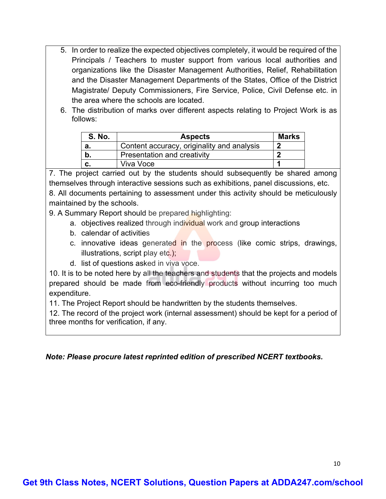- 5. In order to realize the expected objectives completely, it would be required of the Principals / Teachers to muster support from various local authorities and organizations like the Disaster Management Authorities, Relief, Rehabilitation and the Disaster Management Departments of the States, Office of the District Magistrate/ Deputy Commissioners, Fire Service, Police, Civil Defense etc. in the area where the schools are located.
- 6. The distribution of marks over different aspects relating to Project Work is as follows:

| <b>S. No.</b> | <b>Aspects</b>                             | <b>Marks</b> |
|---------------|--------------------------------------------|--------------|
| а.            | Content accuracy, originality and analysis |              |
| b.            | Presentation and creativity                |              |
|               | Viva Voce                                  |              |

7. The project carried out by the students should subsequently be shared among themselves through interactive sessions such as exhibitions, panel discussions, etc. 8. All documents pertaining to assessment under this activity should be meticulously maintained by the schools.

9. A Summary Report should be prepared highlighting:

- a. objectives realized through individual work and group interactions
- b. calendar of activities
- c. innovative ideas generated in the process (like comic strips, drawings, illustrations, script play etc.);
- d. list of questions asked in viva voce.

10. It is to be noted here by all the teachers and students that the projects and models prepared should be made from eco-friendly products without incurring too much expenditure.

11. The Project Report should be handwritten by the students themselves.

12. The record of the project work (internal assessment) should be kept for a period of three months for verification, if any.

#### *Note: Please procure latest reprinted edition of prescribed NCERT textbooks.*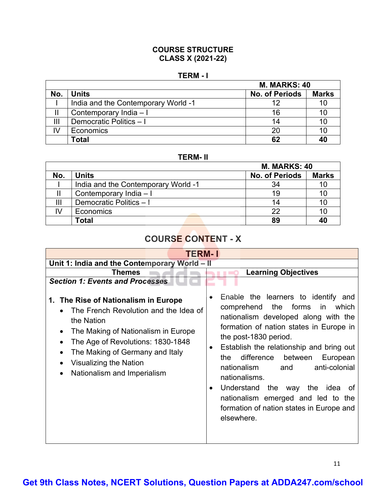#### **COURSE STRUCTURE CLASS X (2021-22)**

#### **TERM - I**

|     | <b>M. MARKS: 40</b>                 |                       |              |
|-----|-------------------------------------|-----------------------|--------------|
| No. | <b>Units</b>                        | <b>No. of Periods</b> | <b>Marks</b> |
|     | India and the Contemporary World -1 | 12                    | 10           |
|     | Contemporary India - I              | 16                    | 10           |
| Ш   | Democratic Politics - I             | 14                    | 10           |
| IV  | Economics                           | 20                    | 10           |
|     | Гоtal                               | 62                    | 40           |

**TERM- II**

|     |                                     | <b>M. MARKS: 40</b>   |              |
|-----|-------------------------------------|-----------------------|--------------|
| No. | <b>Units</b>                        | <b>No. of Periods</b> | <b>Marks</b> |
|     | India and the Contemporary World -1 | 34                    | 10           |
|     | Contemporary India - I              | 19                    | 10           |
|     | Democratic Politics - I             | 14                    | 10           |
|     | Economics                           | 22                    | 10           |
|     | Total                               | 89                    | 40           |

# **COURSE CONTENT - X**

| TERM- I                                                                                                                                                                                                                                                                          |                                                                                                                                                                                                                                                                                                                                                                                                                                                                                                                                   |  |  |
|----------------------------------------------------------------------------------------------------------------------------------------------------------------------------------------------------------------------------------------------------------------------------------|-----------------------------------------------------------------------------------------------------------------------------------------------------------------------------------------------------------------------------------------------------------------------------------------------------------------------------------------------------------------------------------------------------------------------------------------------------------------------------------------------------------------------------------|--|--|
| Unit 1: India and the Contemporary World - II                                                                                                                                                                                                                                    |                                                                                                                                                                                                                                                                                                                                                                                                                                                                                                                                   |  |  |
| Themes                                                                                                                                                                                                                                                                           | <b>Learning Objectives</b>                                                                                                                                                                                                                                                                                                                                                                                                                                                                                                        |  |  |
| <b>Section 1: Events and Processes</b>                                                                                                                                                                                                                                           |                                                                                                                                                                                                                                                                                                                                                                                                                                                                                                                                   |  |  |
| 1. The Rise of Nationalism in Europe<br>The French Revolution and the Idea of<br>the Nation<br>The Making of Nationalism in Europe<br>The Age of Revolutions: 1830-1848<br>$\bullet$<br>The Making of Germany and Italy<br>Visualizing the Nation<br>Nationalism and Imperialism | Enable the learners to identify and<br>$\bullet$<br>comprehend<br>the<br>forms<br>in<br>which<br>nationalism developed along with the<br>formation of nation states in Europe in<br>the post-1830 period.<br>Establish the relationship and bring out<br>$\bullet$<br>difference<br>between<br>the<br>European<br>anti-colonial<br>and<br>nationalism<br>nationalisms.<br>Understand the<br>the<br>idea<br>way<br>0f<br>$\bullet$<br>nationalism emerged and led to the<br>formation of nation states in Europe and<br>elsewhere. |  |  |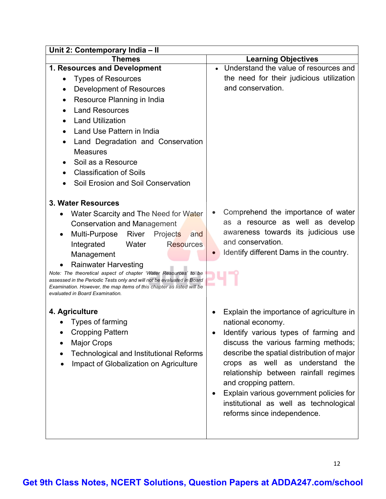| Unit 2: Contemporary India - II                                                                                                                 |                                                 |  |  |
|-------------------------------------------------------------------------------------------------------------------------------------------------|-------------------------------------------------|--|--|
| <b>Themes</b>                                                                                                                                   | <b>Learning Objectives</b>                      |  |  |
| 1. Resources and Development                                                                                                                    | • Understand the value of resources and         |  |  |
| <b>Types of Resources</b>                                                                                                                       | the need for their judicious utilization        |  |  |
| Development of Resources                                                                                                                        | and conservation.                               |  |  |
| Resource Planning in India                                                                                                                      |                                                 |  |  |
| <b>Land Resources</b>                                                                                                                           |                                                 |  |  |
| <b>Land Utilization</b>                                                                                                                         |                                                 |  |  |
| Land Use Pattern in India<br>$\bullet$                                                                                                          |                                                 |  |  |
| Land Degradation and Conservation                                                                                                               |                                                 |  |  |
| <b>Measures</b>                                                                                                                                 |                                                 |  |  |
| Soil as a Resource                                                                                                                              |                                                 |  |  |
| <b>Classification of Soils</b>                                                                                                                  |                                                 |  |  |
| Soil Erosion and Soil Conservation                                                                                                              |                                                 |  |  |
|                                                                                                                                                 |                                                 |  |  |
| 3. Water Resources                                                                                                                              |                                                 |  |  |
| Water Scarcity and The Need for Water<br>٠                                                                                                      | Comprehend the importance of water<br>$\bullet$ |  |  |
| <b>Conservation and Management</b>                                                                                                              | as a resource as well as develop                |  |  |
| Multi-Purpose River<br>Projects<br>and                                                                                                          | awareness towards its judicious use             |  |  |
| Water<br><b>Resources</b><br>Integrated                                                                                                         | and conservation.                               |  |  |
| Management                                                                                                                                      | Identify different Dams in the country.         |  |  |
| <b>Rainwater Harvesting</b>                                                                                                                     |                                                 |  |  |
| Note: The theoretical aspect of chapter 'Water Resources' to be                                                                                 |                                                 |  |  |
| assessed in the Periodic Tests only and will not be evaluated in Board<br>Examination. However, the map items of this chapter as listed will be |                                                 |  |  |
| evaluated in Board Examination.                                                                                                                 |                                                 |  |  |
|                                                                                                                                                 |                                                 |  |  |
| 4. Agriculture                                                                                                                                  | Explain the importance of agriculture in        |  |  |
| Types of farming                                                                                                                                | national economy.                               |  |  |
| <b>Cropping Pattern</b>                                                                                                                         | Identify various types of farming and           |  |  |
| <b>Major Crops</b>                                                                                                                              | discuss the various farming methods;            |  |  |
| <b>Technological and Institutional Reforms</b>                                                                                                  | describe the spatial distribution of major      |  |  |
| Impact of Globalization on Agriculture                                                                                                          | crops as well as understand the                 |  |  |
|                                                                                                                                                 | relationship between rainfall regimes           |  |  |
|                                                                                                                                                 | and cropping pattern.                           |  |  |
|                                                                                                                                                 | Explain various government policies for         |  |  |
|                                                                                                                                                 | institutional as well as technological          |  |  |
|                                                                                                                                                 | reforms since independence.                     |  |  |
|                                                                                                                                                 |                                                 |  |  |
|                                                                                                                                                 |                                                 |  |  |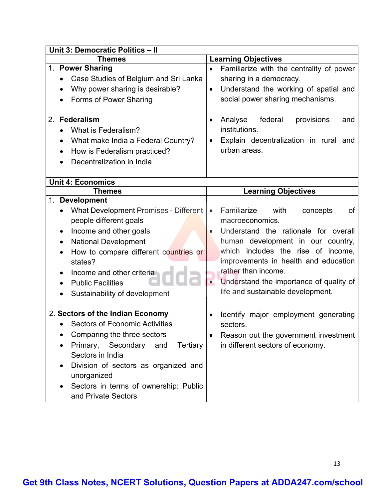| Unit 3: Democratic Politics - II                                                                                                                                                                                                                                                                                  |                                                                                                                                                                                                                                                                                                                                                      |  |
|-------------------------------------------------------------------------------------------------------------------------------------------------------------------------------------------------------------------------------------------------------------------------------------------------------------------|------------------------------------------------------------------------------------------------------------------------------------------------------------------------------------------------------------------------------------------------------------------------------------------------------------------------------------------------------|--|
| <b>Themes</b>                                                                                                                                                                                                                                                                                                     | <b>Learning Objectives</b>                                                                                                                                                                                                                                                                                                                           |  |
| 1. Power Sharing<br>Case Studies of Belgium and Sri Lanka<br>Why power sharing is desirable?<br>$\bullet$<br>Forms of Power Sharing<br>$\bullet$<br>2. Federalism<br>What is Federalism?<br>What make India a Federal Country?<br>$\bullet$<br>How is Federalism practiced?<br>Decentralization in India          | Familiarize with the centrality of power<br>$\bullet$<br>sharing in a democracy.<br>Understand the working of spatial and<br>$\bullet$<br>social power sharing mechanisms.<br>federal<br>Analyse<br>provisions<br>and<br>institutions.<br>Explain decentralization in rural and<br>urban areas.                                                      |  |
| <b>Unit 4: Economics</b>                                                                                                                                                                                                                                                                                          |                                                                                                                                                                                                                                                                                                                                                      |  |
| <b>Themes</b>                                                                                                                                                                                                                                                                                                     | <b>Learning Objectives</b>                                                                                                                                                                                                                                                                                                                           |  |
| 1. Development<br><b>What Development Promises - Different</b><br>$\bullet$<br>people different goals<br>Income and other goals<br>٠<br><b>National Development</b><br>How to compare different countries or<br>states?<br>Income and other criteria<br><b>Public Facilities</b><br>Sustainability of development | Familiarize<br>with<br>concepts<br>οf<br>$\bullet$<br>macroeconomics.<br>Understand the rationale for overall<br>human development in our country,<br>which includes the rise of income,<br>improvements in health and education<br>rather than income.<br>Understand the importance of quality of<br>$\bullet$<br>life and sustainable development. |  |
| 2. Sectors of the Indian Economy<br><b>Sectors of Economic Activities</b><br>Comparing the three sectors<br>Primary, Secondary<br>Tertiary<br>and<br>Sectors in India<br>Division of sectors as organized and<br>unorganized<br>Sectors in terms of ownership: Public<br>and Private Sectors                      | Identify major employment generating<br>sectors.<br>Reason out the government investment<br>in different sectors of economy.                                                                                                                                                                                                                         |  |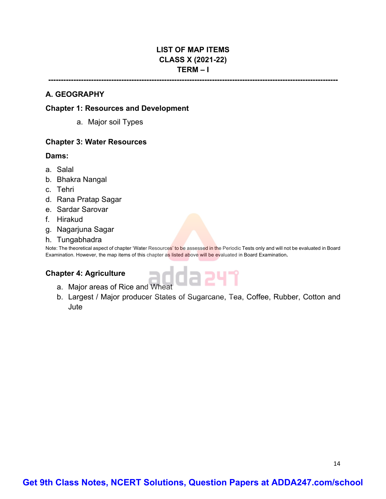#### **LIST OF MAP ITEMS CLASS X (2021-22) TERM – I**

# **-------------------------------------------------------------------------------------------------------------------**

#### **A. GEOGRAPHY**

#### **Chapter 1: Resources and Development**

a. Major soil Types

#### **Chapter 3: Water Resources**

#### **Dams:**

- a. Salal
- b. Bhakra Nangal
- c. Tehri
- d. Rana Pratap Sagar
- e. Sardar Sarovar
- f. Hirakud
- g. Nagarjuna Sagar
- h. Tungabhadra

Note: The theoretical aspect of chapter 'Water Resources' to be assessed in the Periodic Tests only and will not be evaluated in Board Examination. However, the map items of this chapter as listed above will be evaluated in Board Examination**.**

#### **Chapter 4: Agriculture**

- apter 4: Agriculture<br>a. Major areas of Rice and Wheat
- b. Largest / Major producer States of Sugarcane, Tea, Coffee, Rubber, Cotton and **Jute**

14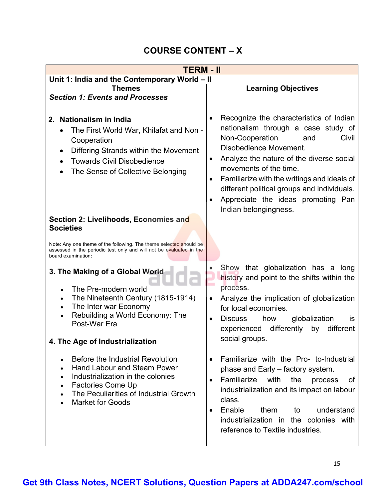# **COURSE CONTENT – X**

| TERM - II                                                                                                                                                                                                    |                                                                                                                                                                                                                                                                                                                                             |  |  |  |
|--------------------------------------------------------------------------------------------------------------------------------------------------------------------------------------------------------------|---------------------------------------------------------------------------------------------------------------------------------------------------------------------------------------------------------------------------------------------------------------------------------------------------------------------------------------------|--|--|--|
| Unit 1: India and the Contemporary World - II                                                                                                                                                                |                                                                                                                                                                                                                                                                                                                                             |  |  |  |
| Themes                                                                                                                                                                                                       | <b>Learning Objectives</b>                                                                                                                                                                                                                                                                                                                  |  |  |  |
| <b>Section 1: Events and Processes</b><br>2. Nationalism in India<br>The First World War, Khilafat and Non -<br>Cooperation<br>Differing Strands within the Movement<br>٠                                    | Recognize the characteristics of Indian<br>nationalism through a case study of<br>Non-Cooperation<br>Civil<br>and<br>Disobedience Movement.<br>Analyze the nature of the diverse social<br>$\bullet$                                                                                                                                        |  |  |  |
| <b>Towards Civil Disobedience</b><br>$\bullet$<br>The Sense of Collective Belonging<br>$\bullet$                                                                                                             | movements of the time.<br>Familiarize with the writings and ideals of<br>different political groups and individuals.<br>Appreciate the ideas promoting Pan<br>Indian belongingness.                                                                                                                                                         |  |  |  |
| Section 2: Livelihoods, Economies and<br><b>Societies</b><br>Note: Any one theme of the following. The theme selected should be                                                                              |                                                                                                                                                                                                                                                                                                                                             |  |  |  |
| assessed in the periodic test only and will not be evaluated in the<br>board examination:                                                                                                                    |                                                                                                                                                                                                                                                                                                                                             |  |  |  |
| 3. The Making of a Global World                                                                                                                                                                              | Show that globalization has a long<br>$\bullet$<br>history and point to the shifts within the<br>process.                                                                                                                                                                                                                                   |  |  |  |
| The Pre-modern world<br>The Nineteenth Century (1815-1914)<br>$\bullet$<br>The Inter war Economy<br>Rebuilding a World Economy: The<br>Post-War Era                                                          | Analyze the implication of globalization<br>$\bullet$<br>for local economies.<br><b>Discuss</b><br>how<br>globalization<br><b>is</b><br>$\bullet$<br>differently<br>by<br>different<br>experienced                                                                                                                                          |  |  |  |
| 4. The Age of Industrialization                                                                                                                                                                              | social groups.                                                                                                                                                                                                                                                                                                                              |  |  |  |
| Before the Industrial Revolution<br><b>Hand Labour and Steam Power</b><br>Industrialization in the colonies<br><b>Factories Come Up</b><br>The Peculiarities of Industrial Growth<br><b>Market for Goods</b> | Familiarize with the Pro- to-Industrial<br>$\bullet$<br>phase and Early – factory system.<br>Familiarize with<br>the<br>of<br>process<br>$\bullet$<br>industrialization and its impact on labour<br>class.<br>Enable<br>understand<br>them<br>to<br>$\bullet$<br>industrialization in the colonies with<br>reference to Textile industries. |  |  |  |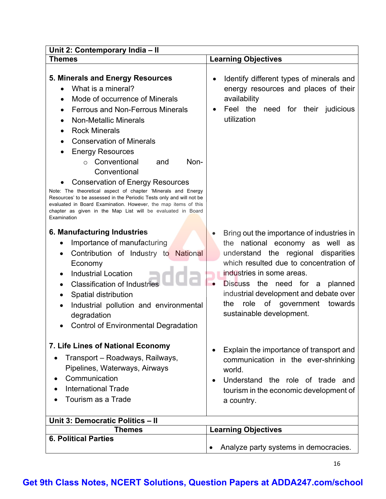| Unit 2: Contemporary India - II                                                                                                                                                                                                                                                                                                                                                                                                                                                                                                                                                                                                                         |                                                                                                                                                                                                                                                                                                                                                                  |  |  |
|---------------------------------------------------------------------------------------------------------------------------------------------------------------------------------------------------------------------------------------------------------------------------------------------------------------------------------------------------------------------------------------------------------------------------------------------------------------------------------------------------------------------------------------------------------------------------------------------------------------------------------------------------------|------------------------------------------------------------------------------------------------------------------------------------------------------------------------------------------------------------------------------------------------------------------------------------------------------------------------------------------------------------------|--|--|
| Themes                                                                                                                                                                                                                                                                                                                                                                                                                                                                                                                                                                                                                                                  | <b>Learning Objectives</b>                                                                                                                                                                                                                                                                                                                                       |  |  |
| 5. Minerals and Energy Resources<br>What is a mineral?<br>Mode of occurrence of Minerals<br><b>Ferrous and Non-Ferrous Minerals</b><br><b>Non-Metallic Minerals</b><br><b>Rock Minerals</b><br><b>Conservation of Minerals</b><br><b>Energy Resources</b><br>Conventional<br>Non-<br>and<br>$\Omega$<br>Conventional<br><b>Conservation of Energy Resources</b><br>Note: The theoretical aspect of chapter 'Minerals and Energy<br>Resources' to be assessed in the Periodic Tests only and will not be<br>evaluated in Board Examination. However, the map items of this<br>chapter as given in the Map List will be evaluated in Board<br>Examination | Identify different types of minerals and<br>$\bullet$<br>energy resources and places of their<br>availability<br>Feel the need for their judicious<br>$\bullet$<br>utilization                                                                                                                                                                                   |  |  |
| 6. Manufacturing Industries<br>Importance of manufacturing<br>$\bullet$<br>Contribution of Industry to National<br>$\bullet$<br>Economy<br><b>Industrial Location</b><br>٠<br><b>Classification of Industries</b><br>$\bullet$<br>Spatial distribution<br>٠<br>Industrial pollution and environmental<br>degradation<br><b>Control of Environmental Degradation</b><br>$\bullet$                                                                                                                                                                                                                                                                        | Bring out the importance of industries in<br>the national economy as well as<br>understand the regional disparities<br>which resulted due to concentration of<br>industries in some areas.<br>planned<br>Discuss the need for<br>$\bullet$<br>a<br>industrial development and debate over<br>role<br>of government<br>towards<br>the<br>sustainable development. |  |  |
| 7. Life Lines of National Economy<br>Transport - Roadways, Railways,<br>Pipelines, Waterways, Airways<br>Communication<br><b>International Trade</b><br>Tourism as a Trade                                                                                                                                                                                                                                                                                                                                                                                                                                                                              | Explain the importance of transport and<br>$\bullet$<br>communication in the ever-shrinking<br>world.<br>Understand the role of trade and<br>$\bullet$<br>tourism in the economic development of<br>a country.                                                                                                                                                   |  |  |
| Unit 3: Democratic Politics - II                                                                                                                                                                                                                                                                                                                                                                                                                                                                                                                                                                                                                        |                                                                                                                                                                                                                                                                                                                                                                  |  |  |
| Themes                                                                                                                                                                                                                                                                                                                                                                                                                                                                                                                                                                                                                                                  | <b>Learning Objectives</b>                                                                                                                                                                                                                                                                                                                                       |  |  |
| <b>6. Political Parties</b>                                                                                                                                                                                                                                                                                                                                                                                                                                                                                                                                                                                                                             |                                                                                                                                                                                                                                                                                                                                                                  |  |  |
|                                                                                                                                                                                                                                                                                                                                                                                                                                                                                                                                                                                                                                                         | Analyze party systems in democracies.                                                                                                                                                                                                                                                                                                                            |  |  |

16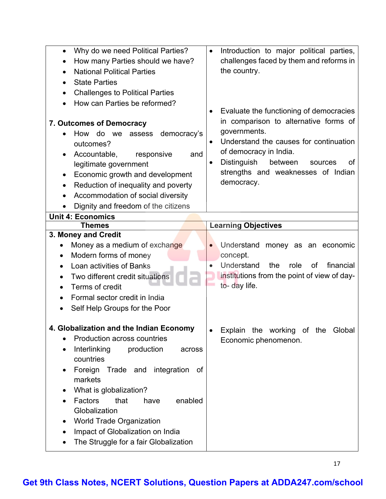| Why do we need Political Parties?<br>$\bullet$<br>How many Parties should we have?<br><b>National Political Parties</b><br>$\bullet$<br><b>State Parties</b><br>$\bullet$<br><b>Challenges to Political Parties</b><br>$\bullet$<br>How can Parties be reformed?<br><b>7. Outcomes of Democracy</b><br>How do we<br>democracy's<br>assess<br>$\bullet$<br>outcomes?<br>Accountable,<br>responsive<br>and<br>٠<br>legitimate government<br>Economic growth and development<br>٠<br>Reduction of inequality and poverty<br>$\bullet$<br>Accommodation of social diversity<br>$\bullet$<br>Dignity and freedom of the citizens<br>٠ | Introduction to major political parties,<br>$\bullet$<br>challenges faced by them and reforms in<br>the country.<br>Evaluate the functioning of democracies<br>$\bullet$<br>in comparison to alternative forms of<br>governments.<br>Understand the causes for continuation<br>$\bullet$<br>of democracy in India.<br><b>Distinguish</b><br>between<br>οf<br>sources<br>$\bullet$<br>strengths and weaknesses of Indian<br>democracy. |
|----------------------------------------------------------------------------------------------------------------------------------------------------------------------------------------------------------------------------------------------------------------------------------------------------------------------------------------------------------------------------------------------------------------------------------------------------------------------------------------------------------------------------------------------------------------------------------------------------------------------------------|---------------------------------------------------------------------------------------------------------------------------------------------------------------------------------------------------------------------------------------------------------------------------------------------------------------------------------------------------------------------------------------------------------------------------------------|
| <b>Unit 4: Economics</b>                                                                                                                                                                                                                                                                                                                                                                                                                                                                                                                                                                                                         |                                                                                                                                                                                                                                                                                                                                                                                                                                       |
| <b>Themes</b>                                                                                                                                                                                                                                                                                                                                                                                                                                                                                                                                                                                                                    | <b>Learning Objectives</b>                                                                                                                                                                                                                                                                                                                                                                                                            |
| 3. Money and Credit                                                                                                                                                                                                                                                                                                                                                                                                                                                                                                                                                                                                              |                                                                                                                                                                                                                                                                                                                                                                                                                                       |
| Money as a medium of exchange<br>Modern forms of money<br>$\bullet$<br>Loan activities of Banks<br>$\bullet$<br>Two different credit situations<br>$\bullet$<br>Terms of credit<br>$\bullet$<br>Formal sector credit in India<br>Self Help Groups for the Poor                                                                                                                                                                                                                                                                                                                                                                   | Understand money as an economic<br>concept.<br>Understand<br>financial<br>the<br>role<br>of<br>$\bullet$<br>institutions from the point of view of day-<br>to- day life.                                                                                                                                                                                                                                                              |
| <b>Globalization and the Indian Economy</b><br>Production across countries<br>Interlinking<br>production<br>across<br>$\bullet$<br>countries<br>Foreign Trade and integration<br>оf<br>٠<br>markets<br>What is globalization?<br>Factors<br>enabled<br>that<br>have<br>Globalization<br>World Trade Organization<br>Impact of Globalization on India<br>The Struggle for a fair Globalization                                                                                                                                                                                                                                    | Explain the working of the Global<br>$\bullet$<br>Economic phenomenon.                                                                                                                                                                                                                                                                                                                                                                |

17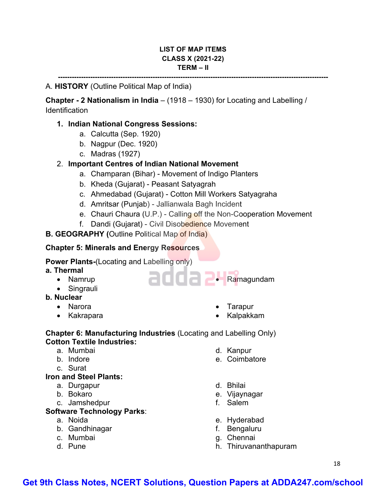#### **LIST OF MAP ITEMS CLASS X (2021-22) TERM – II**

**---------------------------------------------------------------------------------------------------------------------**

#### A. **HISTORY** (Outline Political Map of India)

**Chapter - 2 Nationalism in India** – (1918 – 1930) for Locating and Labelling / **Identification** 

#### **1. Indian National Congress Sessions:**

- a. Calcutta (Sep. 1920)
- b. Nagpur (Dec. 1920)
- c. Madras (1927)

#### 2. **Important Centres of Indian National Movement**

- a. Champaran (Bihar) Movement of Indigo Planters
- b. Kheda (Gujarat) Peasant Satyagrah
- c. Ahmedabad (Gujarat) Cotton Mill Workers Satyagraha
- d. Amritsar (Punjab) Jallianwala Bagh Incident
- e. Chauri Chaura (U.P.) Calling off the Non-Cooperation Movement

adda **2.** Ramagundam

f. Dandi (Gujarat) - Civil Disobedience Movement

#### **B. GEOGRAPHY (Outline Political Map of India)**

#### **Chapter 5: Minerals and Energy Resources**

**Power Plants-**(Locating and Labelling only)

- **a. Thermal**
	- Namrup
	- Singrauli
- **b. Nuclear**
	- Narora
	- Kakrapara
- Tarapur
- Kalpakkam

#### **Chapter 6: Manufacturing Industries** (Locating and Labelling Only) **Cotton Textile Industries:**

- a. Mumbai
- b. Indore
- c. Surat

#### **Iron and Steel Plants:**

- a. Durgapur
- b. Bokaro
- c. Jamshedpur

#### **Software Technology Parks**:

- a. Noida
- b. Gandhinagar
- c. Mumbai
- d. Pune

d. Kanpur e. Coimbatore

- d. Bhilai
- e. Vijaynagar
- f. Salem
- e. Hyderabad
- f. Bengaluru
- g. Chennai
- h. Thiruvananthapuram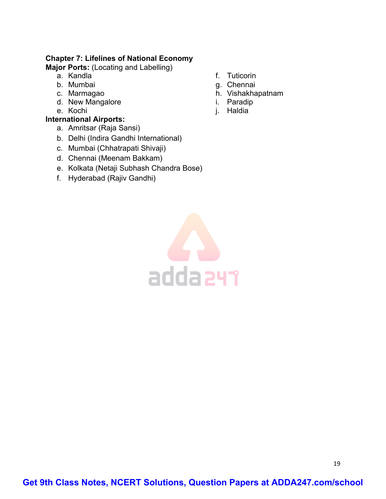#### **Chapter 7: Lifelines of National Economy**

**Major Ports:** (Locating and Labelling)

- a. Kandla
- b. Mumbai
- c. Marmagao
- d. New Mangalore
- e. Kochi

#### **International Airports:**

- a. Amritsar (Raja Sansi)
- b. Delhi (Indira Gandhi International)
- c. Mumbai (Chhatrapati Shivaji)
- d. Chennai (Meenam Bakkam)
- e. Kolkata (Netaji Subhash Chandra Bose)
- f. Hyderabad (Rajiv Gandhi)
- f. Tuticorin
- g. Chennai
- h. Vishakhapatnam
- i. Paradip
- j. Haldia

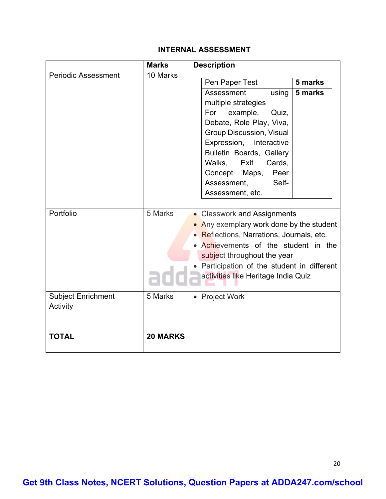#### **INTERNAL ASSESSMENT**

|                                       | <b>Marks</b>    | <b>Description</b>                                                                                                                                                                                                                                                                                                                    |  |
|---------------------------------------|-----------------|---------------------------------------------------------------------------------------------------------------------------------------------------------------------------------------------------------------------------------------------------------------------------------------------------------------------------------------|--|
| <b>Periodic Assessment</b>            | 10 Marks        | 5 marks<br>Pen Paper Test<br>Assessment<br>using<br>5 marks<br>multiple strategies<br>For<br>example,<br>Quiz,<br>Debate, Role Play, Viva,<br><b>Group Discussion, Visual</b><br>Expression,<br>Interactive<br>Bulletin Boards, Gallery<br>Walks, Exit<br>Cards,<br>Concept Maps,<br>Peer<br>Assessment,<br>Self-<br>Assessment, etc. |  |
| Portfolio                             | 5 Marks         | • Classwork and Assignments<br>• Any exemplary work done by the student<br>• Reflections, Narrations, Journals, etc.<br>Achievements of the student in the<br>subject throughout the year<br>Participation of the student in different<br>activities like Heritage India Quiz                                                         |  |
| <b>Subject Enrichment</b><br>Activity | 5 Marks         | • Project Work                                                                                                                                                                                                                                                                                                                        |  |
| <b>TOTAL</b>                          | <b>20 MARKS</b> |                                                                                                                                                                                                                                                                                                                                       |  |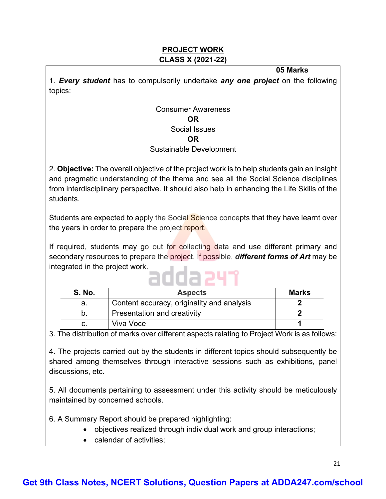#### **PROJECT WORK CLASS X (2021-22)**

 **05 Marks**

1. *Every student* has to compulsorily undertake *any one project* on the following topics:

#### Consumer Awareness **OR** Social Issues **OR**

#### Sustainable Development

2. **Objective:** The overall objective of the project work is to help students gain an insight and pragmatic understanding of the theme and see all the Social Science disciplines from interdisciplinary perspective. It should also help in enhancing the Life Skills of the students.

Students are expected to apply the Social Science concepts that they have learnt over the years in order to prepare the project report.

If required, students may go out for collecting data and use different primary and secondary resources to prepare the project. If possible, *different forms of Art* may be integrated in the project work.

# adda 241

| <b>S. No.</b> | <b>Aspects</b>                             | <b>Marks</b> |
|---------------|--------------------------------------------|--------------|
| а.            | Content accuracy, originality and analysis |              |
| D.            | Presentation and creativity                |              |
|               | Viva Voce                                  |              |

3. The distribution of marks over different aspects relating to Project Work is as follows:

4. The projects carried out by the students in different topics should subsequently be shared among themselves through interactive sessions such as exhibitions, panel discussions, etc.

5. All documents pertaining to assessment under this activity should be meticulously maintained by concerned schools.

6. A Summary Report should be prepared highlighting:

- objectives realized through individual work and group interactions;
- calendar of activities;